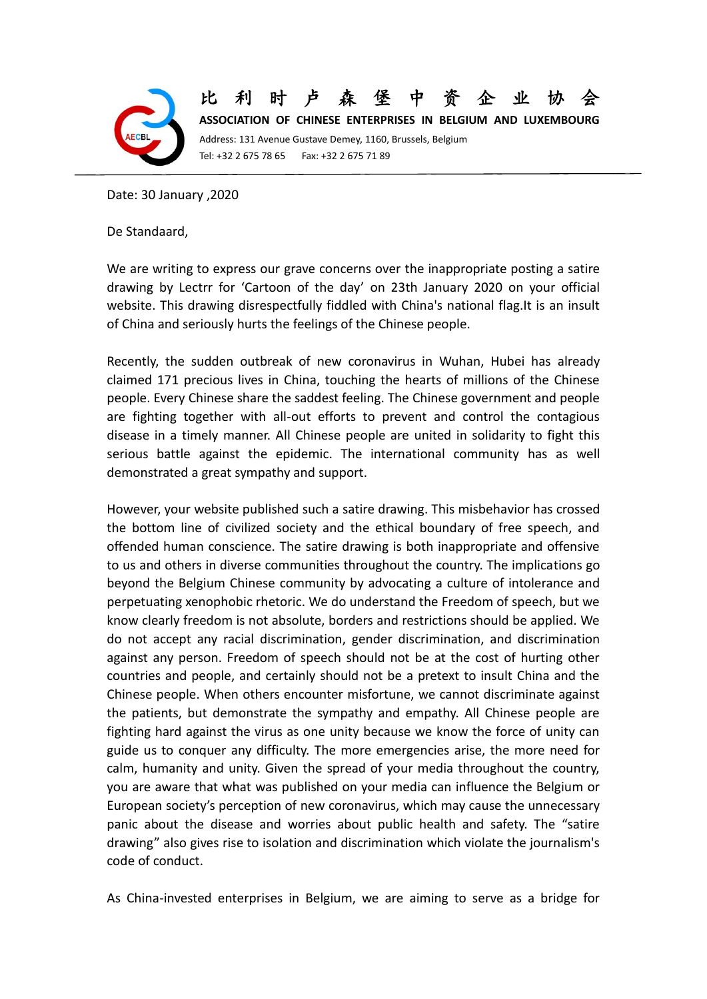

## 比利时卢森堡中资企

**ASSOCIATION OF CHINESE ENTERPRISES IN BELGIUM AND LUXEMBOURG** Address: 131 Avenue Gustave Demey, 1160, Brussels, Belgium Tel: +32 2 675 78 65 Fax: +32 2 675 71 89

Date: 30 January ,2020

De Standaard,

We are writing to express our grave concerns over the inappropriate posting a satire drawing by Lectrr for 'Cartoon of the day' on 23th January 2020 on your official website. This drawing disrespectfully fiddled with China's national flag.It is an insult of China and seriously hurts the feelings of the Chinese people.

Recently, the sudden outbreak of new coronavirus in Wuhan, Hubei has already claimed 171 precious lives in China, touching the hearts of millions of the Chinese people. Every Chinese share the saddest feeling. The Chinese government and people are fighting together with all-out efforts to prevent and control the contagious disease in a timely manner. All Chinese people are united in solidarity to fight this serious battle against the epidemic. The international community has as well demonstrated a great sympathy and support.

However, your website published such a satire drawing. This misbehavior has crossed the bottom line of civilized society and the ethical boundary of free speech, and offended human conscience. The satire drawing is both inappropriate and offensive to us and others in diverse communities throughout the country. The implications go beyond the Belgium Chinese community by advocating a culture of intolerance and perpetuating xenophobic rhetoric. We do understand the Freedom of speech, but we know clearly freedom is not absolute, borders and restrictions should be applied. We do not accept any racial discrimination, gender discrimination, and discrimination against any person. Freedom of speech should not be at the cost of hurting other countries and people, and certainly should not be a pretext to insult China and the Chinese people. When others encounter misfortune, we cannot discriminate against the patients, but demonstrate the sympathy and empathy. All Chinese people are fighting hard against the virus as one unity because we know the force of unity can guide us to conquer any difficulty. The more emergencies arise, the more need for calm, humanity and unity. Given the spread of your media throughout the country, you are aware that what was published on your media can influence the Belgium or European society's perception of new coronavirus, which may cause the unnecessary panic about the disease and worries about public health and safety. The "satire drawing" also gives rise to isolation and discrimination which violate the journalism's code of conduct.

As China-invested enterprises in Belgium, we are aiming to serve as a bridge for